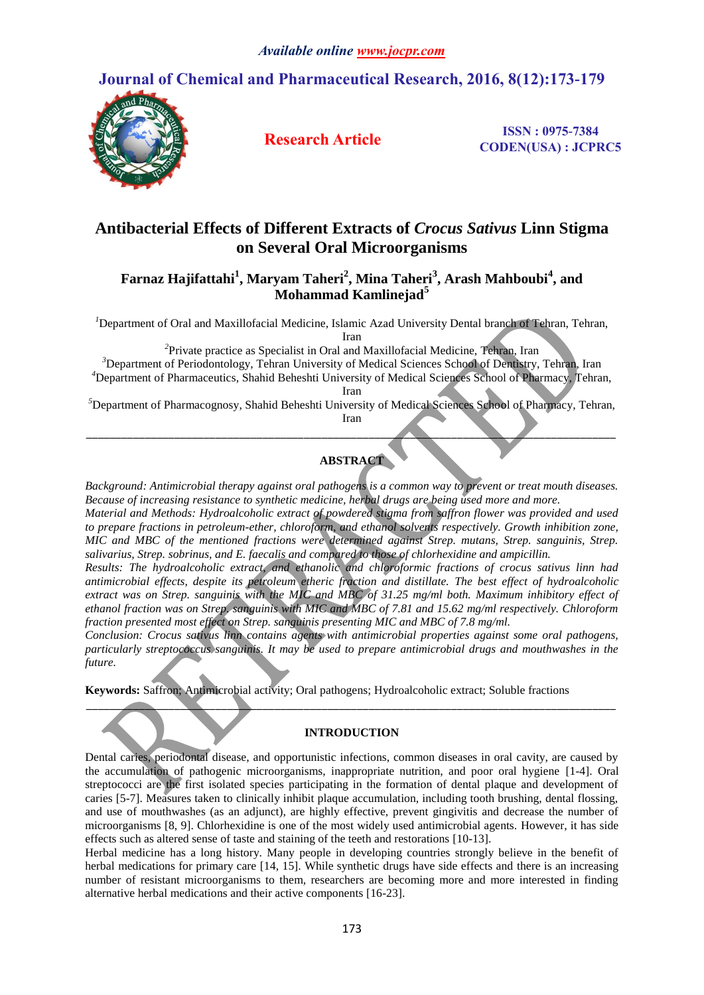# **Journal of Chemical and Pharmaceutical Research, 2016, 8(12):173-179**



**Research Article ISSN : 0975-7384 CODEN(USA) : JCPRC5**

# **Antibacterial Effects of Different Extracts of** *Crocus Sativus* **Linn Stigma on Several Oral Microorganisms**

## **Farnaz Hajifattahi<sup>1</sup> , Maryam Taheri<sup>2</sup> , Mina Taheri<sup>3</sup> , Arash Mahboubi<sup>4</sup> , and Mohammad Kamlinejad<sup>5</sup>**

<sup>1</sup>Department of Oral and Maxillofacial Medicine, Islamic Azad University Dental branch of Tehran, Tehran, Iran

*2* Private practice as Specialist in Oral and Maxillofacial Medicine, Tehran, Iran

<sup>3</sup>Department of Periodontology, Tehran University of Medical Sciences School of Dentistry, Tehran, Iran

*<sup>4</sup>*Department of Pharmaceutics, Shahid Beheshti University of Medical Sciences School of Pharmacy, Tehran, Iran

*<sup>5</sup>*Department of Pharmacognosy, Shahid Beheshti University of Medical Sciences School of Pharmacy, Tehran, Iran

*\_\_\_\_\_\_\_\_\_\_\_\_\_\_\_\_\_\_\_\_\_\_\_\_\_\_\_\_\_\_\_\_\_\_\_\_\_\_\_\_\_\_\_\_\_\_\_\_\_\_\_\_\_\_\_\_\_\_\_\_\_\_\_\_\_\_\_\_\_\_\_\_\_\_\_\_\_\_\_\_\_\_\_\_\_\_\_\_\_\_*

**ABSTRACT**

*Background: Antimicrobial therapy against oral pathogens is a common way to prevent or treat mouth diseases. Because of increasing resistance to synthetic medicine, herbal drugs are being used more and more.*

*Material and Methods: Hydroalcoholic extract of powdered stigma from saffron flower was provided and used to prepare fractions in petroleum-ether, chloroform, and ethanol solvents respectively. Growth inhibition zone, MIC and MBC of the mentioned fractions were determined against Strep. mutans, Strep. sanguinis, Strep. salivarius, Strep. sobrinus, and E. faecalis and compared to those of chlorhexidine and ampicillin.*

*Results: The hydroalcoholic extract, and ethanolic and chloroformic fractions of crocus sativus linn had antimicrobial effects, despite its petroleum etheric fraction and distillate. The best effect of hydroalcoholic extract was on Strep. sanguinis with the MIC and MBC of 31.25 mg/ml both. Maximum inhibitory effect of ethanol fraction was on Strep. sanguinis with MIC and MBC of 7.81 and 15.62 mg/ml respectively. Chloroform fraction presented most effect on Strep. sanguinis presenting MIC and MBC of 7.8 mg/ml.*

*Conclusion: Crocus sativus linn contains agents with antimicrobial properties against some oral pathogens, particularly streptococcus sanguinis. It may be used to prepare antimicrobial drugs and mouthwashes in the future.*

**Keywords:** Saffron; Antimicrobial activity; Oral pathogens; Hydroalcoholic extract; Soluble fractions

### **INTRODUCTION**

*\_\_\_\_\_\_\_\_\_\_\_\_\_\_\_\_\_\_\_\_\_\_\_\_\_\_\_\_\_\_\_\_\_\_\_\_\_\_\_\_\_\_\_\_\_\_\_\_\_\_\_\_\_\_\_\_\_\_\_\_\_\_\_\_\_\_\_\_\_\_\_\_\_\_\_\_\_\_\_\_\_\_\_\_\_\_\_\_\_\_*

Dental caries, periodontal disease, and opportunistic infections, common diseases in oral cavity, are caused by the accumulation of pathogenic microorganisms, inappropriate nutrition, and poor oral hygiene [1-4]. Oral streptococci are the first isolated species participating in the formation of dental plaque and development of caries [5-7]. Measures taken to clinically inhibit plaque accumulation, including tooth brushing, dental flossing, and use of mouthwashes (as an adjunct), are highly effective, prevent gingivitis and decrease the number of microorganisms [8, 9]. Chlorhexidine is one of the most widely used antimicrobial agents. However, it has side effects such as altered sense of taste and staining of the teeth and restorations [10-13].

Herbal medicine has a long history. Many people in developing countries strongly believe in the benefit of herbal medications for primary care [14, 15]. While synthetic drugs have side effects and there is an increasing number of resistant microorganisms to them, researchers are becoming more and more interested in finding alternative herbal medications and their active components [16-23].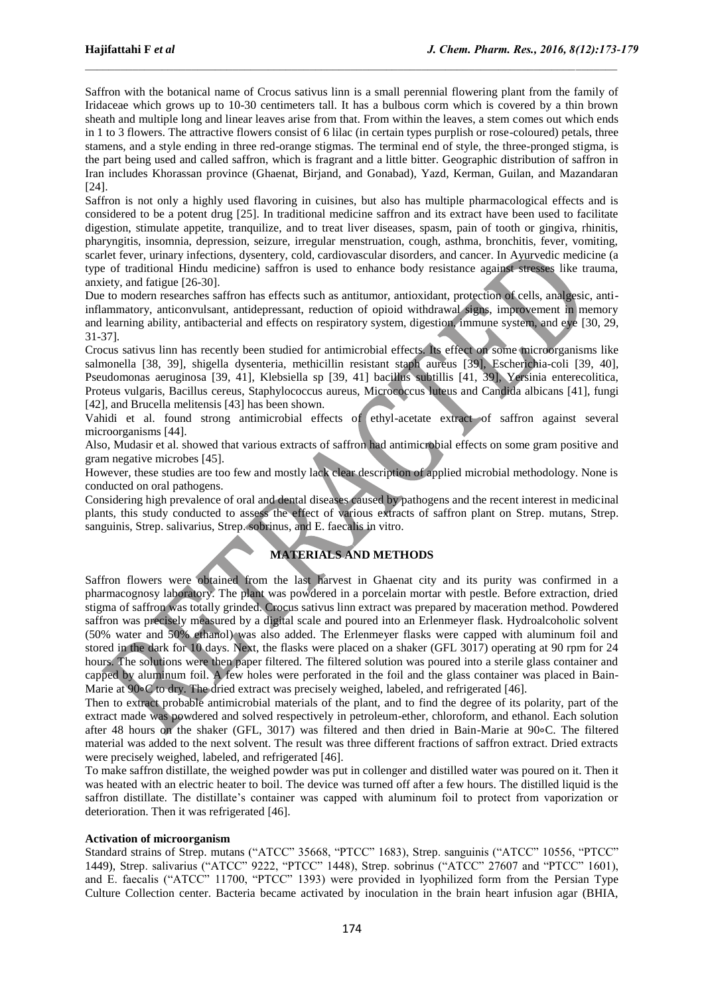Saffron with the botanical name of Crocus sativus linn is a small perennial flowering plant from the family of Iridaceae which grows up to 10-30 centimeters tall. It has a bulbous corm which is covered by a thin brown sheath and multiple long and linear leaves arise from that. From within the leaves, a stem comes out which ends in 1 to 3 flowers. The attractive flowers consist of 6 lilac (in certain types purplish or rose-coloured) petals, three stamens, and a style ending in three red-orange stigmas. The terminal end of style, the three-pronged stigma, is the part being used and called saffron, which is fragrant and a little bitter. Geographic distribution of saffron in Iran includes Khorassan province (Ghaenat, Birjand, and Gonabad), Yazd, Kerman, Guilan, and Mazandaran [24].

Saffron is not only a highly used flavoring in cuisines, but also has multiple pharmacological effects and is considered to be a potent drug [25]. In traditional medicine saffron and its extract have been used to facilitate digestion, stimulate appetite, tranquilize, and to treat liver diseases, spasm, pain of tooth or gingiva, rhinitis, pharyngitis, insomnia, depression, seizure, irregular menstruation, cough, asthma, bronchitis, fever, vomiting, scarlet fever, urinary infections, dysentery, cold, cardiovascular disorders, and cancer. In Ayurvedic medicine (a type of traditional Hindu medicine) saffron is used to enhance body resistance against stresses like trauma, anxiety, and fatigue [26-30].

Due to modern researches saffron has effects such as antitumor, antioxidant, protection of cells, analgesic, antiinflammatory, anticonvulsant, antidepressant, reduction of opioid withdrawal signs, improvement in memory and learning ability, antibacterial and effects on respiratory system, digestion, immune system, and eye [30, 29, 31-37].

Crocus sativus linn has recently been studied for antimicrobial effects. Its effect on some microorganisms like salmonella [38, 39], shigella dysenteria, methicillin resistant staph aureus [39], Escherichia-coli [39, 40], Pseudomonas aeruginosa [39, 41], Klebsiella sp [39, 41] bacillus subtillis [41, 39], Yersinia enterecolitica, Proteus vulgaris, Bacillus cereus, Staphylococcus aureus, Micrococcus luteus and Candida albicans [41], fungi [42], and Brucella melitensis [43] has been shown.

Vahidi et al. found strong antimicrobial effects of ethyl-acetate extract of saffron against several microorganisms [44].

Also, Mudasir et al. showed that various extracts of saffron had antimicrobial effects on some gram positive and gram negative microbes [45].

However, these studies are too few and mostly lack clear description of applied microbial methodology. None is conducted on oral pathogens.

Considering high prevalence of oral and dental diseases caused by pathogens and the recent interest in medicinal plants, this study conducted to assess the effect of various extracts of saffron plant on Strep. mutans, Strep. sanguinis, Strep. salivarius, Strep. sobrinus, and E. faecalis in vitro.

### **MATERIALS AND METHODS**

Saffron flowers were obtained from the last harvest in Ghaenat city and its purity was confirmed in a pharmacognosy laboratory. The plant was powdered in a porcelain mortar with pestle. Before extraction, dried stigma of saffron was totally grinded. Crocus sativus linn extract was prepared by maceration method. Powdered saffron was precisely measured by a digital scale and poured into an Erlenmeyer flask. Hydroalcoholic solvent (50% water and 50% ethanol) was also added. The Erlenmeyer flasks were capped with aluminum foil and stored in the dark for 10 days. Next, the flasks were placed on a shaker (GFL 3017) operating at 90 rpm for 24 hours. The solutions were then paper filtered. The filtered solution was poured into a sterile glass container and capped by aluminum foil. A few holes were perforated in the foil and the glass container was placed in Bain-Marie at 90∘C to dry. The dried extract was precisely weighed, labeled, and refrigerated [46].

Then to extract probable antimicrobial materials of the plant, and to find the degree of its polarity, part of the extract made was powdered and solved respectively in petroleum-ether, chloroform, and ethanol. Each solution after 48 hours on the shaker (GFL, 3017) was filtered and then dried in Bain-Marie at 90∘C. The filtered material was added to the next solvent. The result was three different fractions of saffron extract. Dried extracts were precisely weighed, labeled, and refrigerated [46].

To make saffron distillate, the weighed powder was put in collenger and distilled water was poured on it. Then it was heated with an electric heater to boil. The device was turned off after a few hours. The distilled liquid is the saffron distillate. The distillate's container was capped with aluminum foil to protect from vaporization or deterioration. Then it was refrigerated [46].

### **Activation of microorganism**

Standard strains of Strep. mutans ("ATCC" 35668, "PTCC" 1683), Strep. sanguinis ("ATCC" 10556, "PTCC" 1449), Strep. salivarius ("ATCC" 9222, "PTCC" 1448), Strep. sobrinus ("ATCC" 27607 and "PTCC" 1601), and E. faecalis ("ATCC" 11700, "PTCC" 1393) were provided in lyophilized form from the Persian Type Culture Collection center. Bacteria became activated by inoculation in the brain heart infusion agar (BHIA,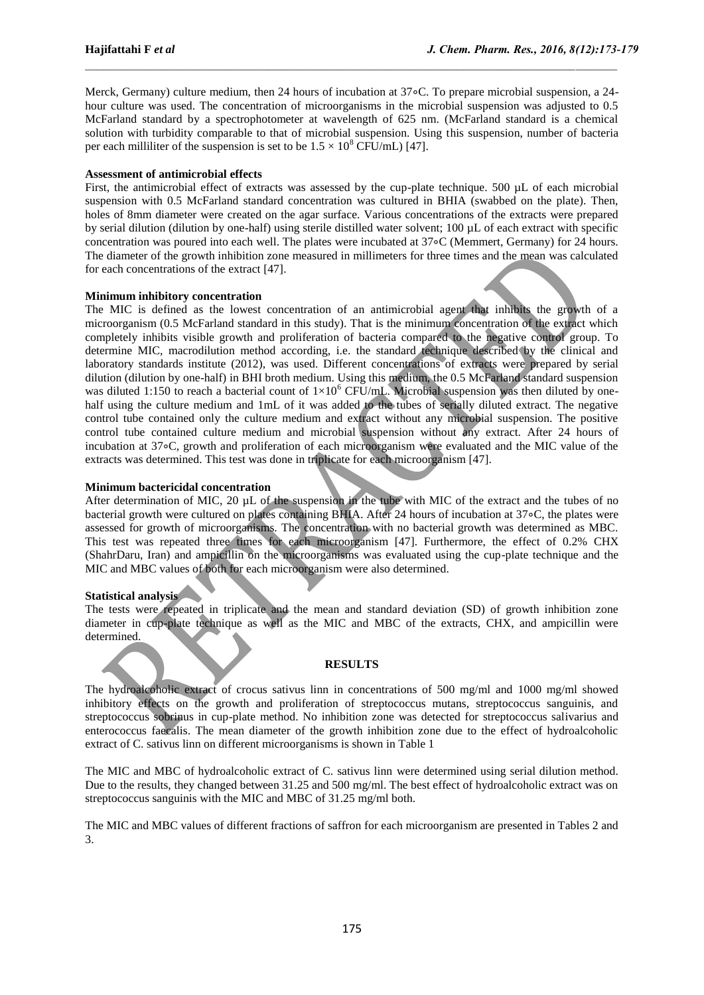Merck, Germany) culture medium, then 24 hours of incubation at 37∘C. To prepare microbial suspension, a 24 hour culture was used. The concentration of microorganisms in the microbial suspension was adjusted to 0.5 McFarland standard by a spectrophotometer at wavelength of 625 nm. (McFarland standard is a chemical solution with turbidity comparable to that of microbial suspension. Using this suspension, number of bacteria per each milliliter of the suspension is set to be  $1.5 \times 10^8$  CFU/mL) [47].

#### **Assessment of antimicrobial effects**

First, the antimicrobial effect of extracts was assessed by the cup-plate technique. 500 µL of each microbial suspension with 0.5 McFarland standard concentration was cultured in BHIA (swabbed on the plate). Then, holes of 8mm diameter were created on the agar surface. Various concentrations of the extracts were prepared by serial dilution (dilution by one-half) using sterile distilled water solvent; 100 µL of each extract with specific concentration was poured into each well. The plates were incubated at 37∘C (Memmert, Germany) for 24 hours. The diameter of the growth inhibition zone measured in millimeters for three times and the mean was calculated for each concentrations of the extract [47].

#### **Minimum inhibitory concentration**

The MIC is defined as the lowest concentration of an antimicrobial agent that inhibits the growth of a microorganism (0.5 McFarland standard in this study). That is the minimum concentration of the extract which completely inhibits visible growth and proliferation of bacteria compared to the negative control group. To determine MIC, macrodilution method according, i.e. the standard technique described by the clinical and laboratory standards institute (2012), was used. Different concentrations of extracts were prepared by serial dilution (dilution by one-half) in BHI broth medium. Using this medium, the 0.5 McFarland standard suspension was diluted 1:150 to reach a bacterial count of  $1\times10^6$  CFU/mL. Microbial suspension was then diluted by onehalf using the culture medium and 1mL of it was added to the tubes of serially diluted extract. The negative control tube contained only the culture medium and extract without any microbial suspension. The positive control tube contained culture medium and microbial suspension without any extract. After 24 hours of incubation at 37∘C, growth and proliferation of each microorganism were evaluated and the MIC value of the extracts was determined. This test was done in triplicate for each microorganism [47].

#### **Minimum bactericidal concentration**

After determination of MIC, 20 µL of the suspension in the tube with MIC of the extract and the tubes of no bacterial growth were cultured on plates containing BHIA. After 24 hours of incubation at 37∘C, the plates were assessed for growth of microorganisms. The concentration with no bacterial growth was determined as MBC. This test was repeated three times for each microorganism [47]. Furthermore, the effect of 0.2% CHX (ShahrDaru, Iran) and ampicillin on the microorganisms was evaluated using the cup-plate technique and the MIC and MBC values of both for each microorganism were also determined.

#### **Statistical analysis**

The tests were repeated in triplicate and the mean and standard deviation (SD) of growth inhibition zone diameter in cup-plate technique as well as the MIC and MBC of the extracts, CHX, and ampicillin were determined.

### **RESULTS**

The hydroalcoholic extract of crocus sativus linn in concentrations of 500 mg/ml and 1000 mg/ml showed inhibitory effects on the growth and proliferation of streptococcus mutans, streptococcus sanguinis, and streptococcus sobrinus in cup-plate method. No inhibition zone was detected for streptococcus salivarius and enterococcus faecalis. The mean diameter of the growth inhibition zone due to the effect of hydroalcoholic extract of C. sativus linn on different microorganisms is shown in Table 1

The MIC and MBC of hydroalcoholic extract of C. sativus linn were determined using serial dilution method. Due to the results, they changed between 31.25 and 500 mg/ml. The best effect of hydroalcoholic extract was on streptococcus sanguinis with the MIC and MBC of 31.25 mg/ml both.

The MIC and MBC values of different fractions of saffron for each microorganism are presented in Tables 2 and 3.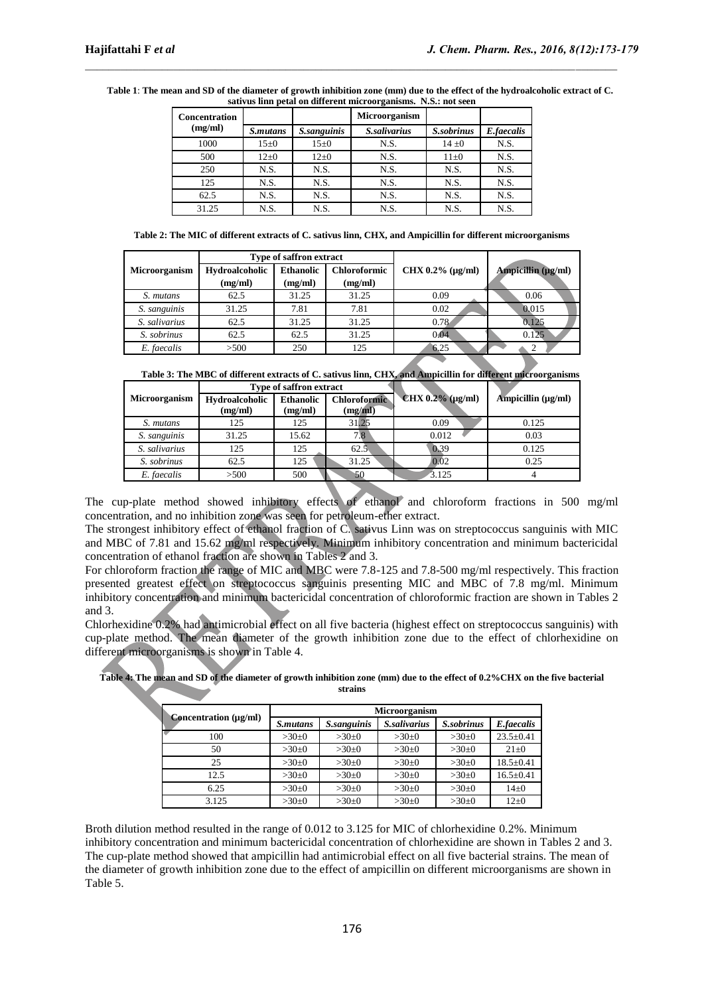| <b>Concentration</b> |                 |             | $\circ$<br>Microorganism |            |            |
|----------------------|-----------------|-------------|--------------------------|------------|------------|
| (mg/ml)              | <i>S.mutans</i> | S.sanguinis | S.salivarius             | S.sobrinus | E.faecalis |
| 1000                 | $15 \pm 0$      | $15\pm0$    | N.S.                     | $14\pm0$   | N.S.       |
| 500                  | $12 \pm 0$      | $12\pm0$    | N.S.                     | $11\pm0$   | N.S.       |
| 250                  | N.S.            | N.S.        | N.S.                     | N.S.       | N.S.       |
| 125                  | N.S.            | N.S.        | N.S.                     | N.S.       | N.S.       |
| 62.5                 | N.S.            | N.S.        | N.S.                     | N.S.       | N.S.       |
| 31.25                | N.S.            | N.S.        | N.S.                     | N.S.       | N.S.       |

**Table 1**: **The mean and SD of the diameter of growth inhibition zone (mm) due to the effect of the hydroalcoholic extract of C. sativus linn petal on different microorganisms. N.S.: not seen**

**Table 2: The MIC of different extracts of C. sativus linn, CHX, and Ampicillin for different microorganisms**

|                      |                | <b>Type of saffron extract</b> |                     |                       |                         |
|----------------------|----------------|--------------------------------|---------------------|-----------------------|-------------------------|
| <b>Microorganism</b> | Hydroalcoholic | <b>Ethanolic</b>               | <b>Chloroformic</b> | $CHX 0.2% (\mu g/ml)$ | Ampicillin $(\mu g/ml)$ |
|                      | (mg/ml)        | (mg/ml)                        | (mg/ml)             |                       |                         |
| S. mutans            | 62.5           | 31.25                          | 31.25               | 0.09                  | 0.06                    |
| S. sanguinis         | 31.25          | 7.81                           | 7.81                | 0.02                  | 0.015                   |
| S. salivarius        | 62.5           | 31.25                          | 31.25               | 0.78                  | 0.125                   |
| S. sobrinus          | 62.5           | 62.5                           | 31.25               | 0.04                  | 0.125                   |
| E. faecalis          | >500           | 250                            | 125                 | 6.25                  |                         |

**Table 3: The MBC of different extracts of C. sativus linn, CHX, and Ampicillin for different microorganisms**

|                      |                           | <b>Type of saffron extract</b> |                                |                       |                         |
|----------------------|---------------------------|--------------------------------|--------------------------------|-----------------------|-------------------------|
| <b>Microorganism</b> | Hydroalcoholic<br>(mg/ml) | <b>Ethanolic</b><br>(mg/ml)    | <b>Chloroformic</b><br>(mg/ml) | $CHX 0.2% (\mu g/ml)$ | Ampicillin $(\mu g/ml)$ |
| S. mutans            | 125                       | 125                            | 31.25                          | 0.09                  | 0.125                   |
| S. sanguinis         | 31.25                     | 15.62                          | 7.8                            | 0.012                 | 0.03                    |
| S. salivarius        | 125                       | 125                            | 62.5                           | 0.39                  | 0.125                   |
| S. sobrinus          | 62.5                      | 125                            | 31.25                          | 0.02                  | 0.25                    |
| E. faecalis          | >500                      | 500                            | 50                             | 3.125                 |                         |

The cup-plate method showed inhibitory effects of ethanol and chloroform fractions in 500 mg/ml concentration, and no inhibition zone was seen for petroleum-ether extract.

The strongest inhibitory effect of ethanol fraction of C. sativus Linn was on streptococcus sanguinis with MIC and MBC of 7.81 and 15.62 mg/ml respectively. Minimum inhibitory concentration and minimum bactericidal concentration of ethanol fraction are shown in Tables 2 and 3.

For chloroform fraction the range of MIC and MBC were 7.8-125 and 7.8-500 mg/ml respectively. This fraction presented greatest effect on streptococcus sanguinis presenting MIC and MBC of 7.8 mg/ml. Minimum inhibitory concentration and minimum bactericidal concentration of chloroformic fraction are shown in Tables 2 and 3.

Chlorhexidine 0.2% had antimicrobial effect on all five bacteria (highest effect on streptococcus sanguinis) with cup-plate method. The mean diameter of the growth inhibition zone due to the effect of chlorhexidine on different microorganisms is shown in Table 4.

| Concentration (µg/ml) | <b>Microorganism</b> |             |                            |            |                 |  |  |
|-----------------------|----------------------|-------------|----------------------------|------------|-----------------|--|--|
|                       | <i>S.mutans</i>      | S.sanguinis | <i><b>S.salivarius</b></i> | S.sobrinus | E.faecalis      |  |  |
| 100                   | $>30\pm0$            | $>30\pm0$   | $>30\pm0$                  | $>30+0$    | $23.5 \pm 0.41$ |  |  |
| 50                    | $>30\pm0$            | $>30+0$     | $>30\pm0$                  | $>30+0$    | $21\pm0$        |  |  |
| 25                    | $>30\pm0$            | $>30+0$     | $>30\pm0$                  | $>30+0$    | $18.5 \pm 0.41$ |  |  |
| 12.5                  | $>30\pm0$            | $>30\pm0$   | $>30\pm0$                  | $>30+0$    | $16.5 \pm 0.41$ |  |  |
| 6.25                  | $>30\pm0$            | $>30\pm0$   | $>30\pm0$                  | $>30+0$    | $14\pm0$        |  |  |
| 3.125                 | $>30\pm0$            | $>30\pm0$   | $>30\pm0$                  | $>30\pm0$  | $12\pm 0$       |  |  |

**Table 4: The mean and SD of the diameter of growth inhibition zone (mm) due to the effect of 0.2%CHX on the five bacterial strains**

Broth dilution method resulted in the range of 0.012 to 3.125 for MIC of chlorhexidine 0.2%. Minimum inhibitory concentration and minimum bactericidal concentration of chlorhexidine are shown in Tables 2 and 3. The cup-plate method showed that ampicillin had antimicrobial effect on all five bacterial strains. The mean of the diameter of growth inhibition zone due to the effect of ampicillin on different microorganisms are shown in Table 5.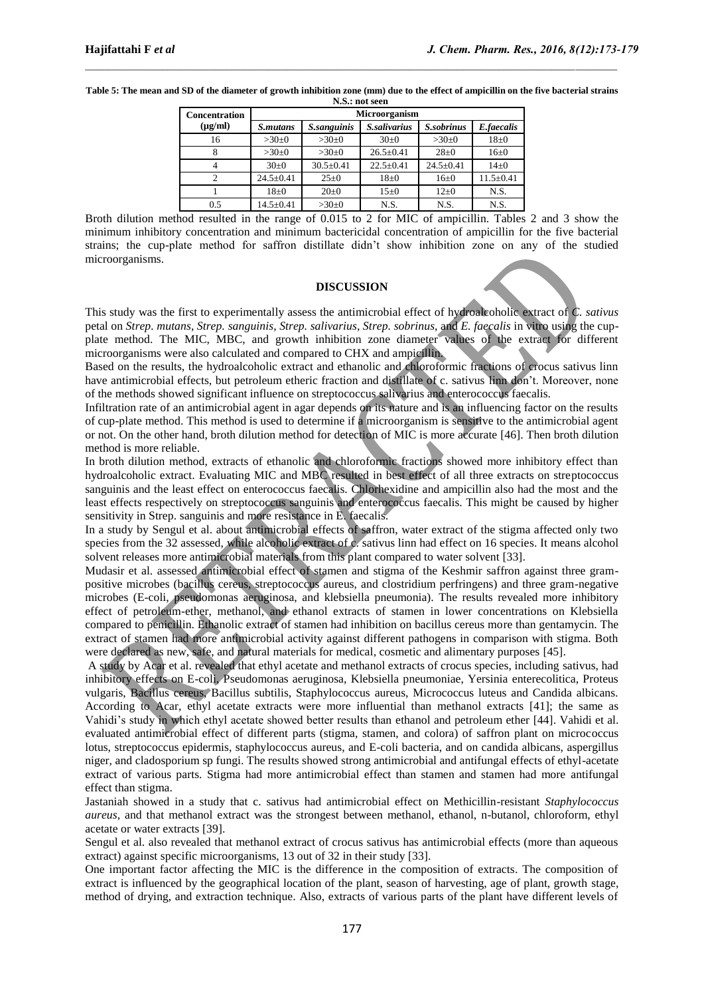| N.S.: not seen       |                      |                 |                 |                 |                 |  |  |
|----------------------|----------------------|-----------------|-----------------|-----------------|-----------------|--|--|
| <b>Concentration</b> | <b>Microorganism</b> |                 |                 |                 |                 |  |  |
| $(\mu g/ml)$         | <i>S.mutans</i>      | S.sanguinis     | S.salivarius    | S.sobrinus      | E.faecalis      |  |  |
| 16                   | $>30+0$              | $>30\pm0$       | $30+0$          | $>30+0$         | $18\pm0$        |  |  |
|                      | $>30+0$              | $>30\pm0$       | $26.5 \pm 0.41$ | $28 \pm 0$      | $16 \pm 0$      |  |  |
|                      | 30±0                 | $30.5 \pm 0.41$ | $22.5 \pm 0.41$ | $24.5 \pm 0.41$ | $14\pm0$        |  |  |
| 2                    | $24.5 \pm 0.41$      | $25 \pm 0$      | $18+0$          | $16 \pm 0$      | $11.5 \pm 0.41$ |  |  |
|                      | $18\pm0$             | $20 \pm 0$      | $15 \pm 0$      | $12+0$          | N.S.            |  |  |
| 0.5                  | $14.5 \pm 0.41$      | $>30\pm0$       | N.S.            | N.S.            | N.S.            |  |  |

**Table 5: The mean and SD of the diameter of growth inhibition zone (mm) due to the effect of ampicillin on the five bacterial strains**

Broth dilution method resulted in the range of 0.015 to 2 for MIC of ampicillin. Tables 2 and 3 show the minimum inhibitory concentration and minimum bactericidal concentration of ampicillin for the five bacterial strains; the cup-plate method for saffron distillate didn't show inhibition zone on any of the studied microorganisms.

#### **DISCUSSION**

This study was the first to experimentally assess the antimicrobial effect of hydroalcoholic extract of *C. sativus*  petal on *Strep. mutans*, *Strep. sanguinis*, *Strep. salivarius*, *Strep. sobrinus,* and *E. faecalis* in vitro using the cupplate method. The MIC, MBC, and growth inhibition zone diameter values of the extract for different microorganisms were also calculated and compared to CHX and ampicillin.

Based on the results, the hydroalcoholic extract and ethanolic and chloroformic fractions of crocus sativus linn have antimicrobial effects, but petroleum etheric fraction and distillate of c. sativus linn don't. Moreover, none of the methods showed significant influence on streptococcus salivarius and enterococcus faecalis.

Infiltration rate of an antimicrobial agent in agar depends on its nature and is an influencing factor on the results of cup-plate method. This method is used to determine if a microorganism is sensitive to the antimicrobial agent or not. On the other hand, broth dilution method for detection of MIC is more accurate [46]. Then broth dilution method is more reliable.

In broth dilution method, extracts of ethanolic and chloroformic fractions showed more inhibitory effect than hydroalcoholic extract. Evaluating MIC and MBC resulted in best effect of all three extracts on streptococcus sanguinis and the least effect on enterococcus faecalis. Chlorhexidine and ampicillin also had the most and the least effects respectively on streptococcus sanguinis and enterococcus faecalis. This might be caused by higher sensitivity in Strep. sanguinis and more resistance in E. faecalis.

In a study by Sengul et al. about antimicrobial effects of saffron, water extract of the stigma affected only two species from the 32 assessed, while alcoholic extract of c. sativus linn had effect on 16 species. It means alcohol solvent releases more antimicrobial materials from this plant compared to water solvent [33].

Mudasir et al. assessed antimicrobial effect of stamen and stigma of the Keshmir saffron against three grampositive microbes (bacillus cereus, streptococcus aureus, and clostridium perfringens) and three gram-negative microbes (E-coli, pseudomonas aeruginosa, and klebsiella pneumonia). The results revealed more inhibitory effect of petroleum-ether, methanol, and ethanol extracts of stamen in lower concentrations on Klebsiella compared to penicillin. Ethanolic extract of stamen had inhibition on bacillus cereus more than gentamycin. The extract of stamen had more antimicrobial activity against different pathogens in comparison with stigma. Both were declared as new, safe, and natural materials for medical, cosmetic and alimentary purposes [45].

A study by Acar et al. revealed that ethyl acetate and methanol extracts of crocus species, including sativus, had inhibitory effects on E-coli, Pseudomonas aeruginosa, Klebsiella pneumoniae, Yersinia enterecolitica, Proteus vulgaris, Bacillus cereus, Bacillus subtilis, Staphylococcus aureus, Micrococcus luteus and Candida albicans. According to Acar, ethyl acetate extracts were more influential than methanol extracts [41]; the same as Vahidi's study in which ethyl acetate showed better results than ethanol and petroleum ether [44]. Vahidi et al. evaluated antimicrobial effect of different parts (stigma, stamen, and colora) of saffron plant on micrococcus lotus, streptococcus epidermis, staphylococcus aureus, and E-coli bacteria, and on candida albicans, aspergillus niger, and cladosporium sp fungi. The results showed strong antimicrobial and antifungal effects of ethyl-acetate extract of various parts. Stigma had more antimicrobial effect than stamen and stamen had more antifungal effect than stigma.

Jastaniah showed in a study that c. sativus had antimicrobial effect on Methicillin-resistant *Staphylococcus aureus*, and that methanol extract was the strongest between methanol, ethanol, n-butanol, chloroform, ethyl acetate or water extracts [39].

Sengul et al. also revealed that methanol extract of crocus sativus has antimicrobial effects (more than aqueous extract) against specific microorganisms, 13 out of 32 in their study [33].

One important factor affecting the MIC is the difference in the composition of extracts. The composition of extract is influenced by the geographical location of the plant, season of harvesting, age of plant, growth stage, method of drying, and extraction technique. Also, extracts of various parts of the plant have different levels of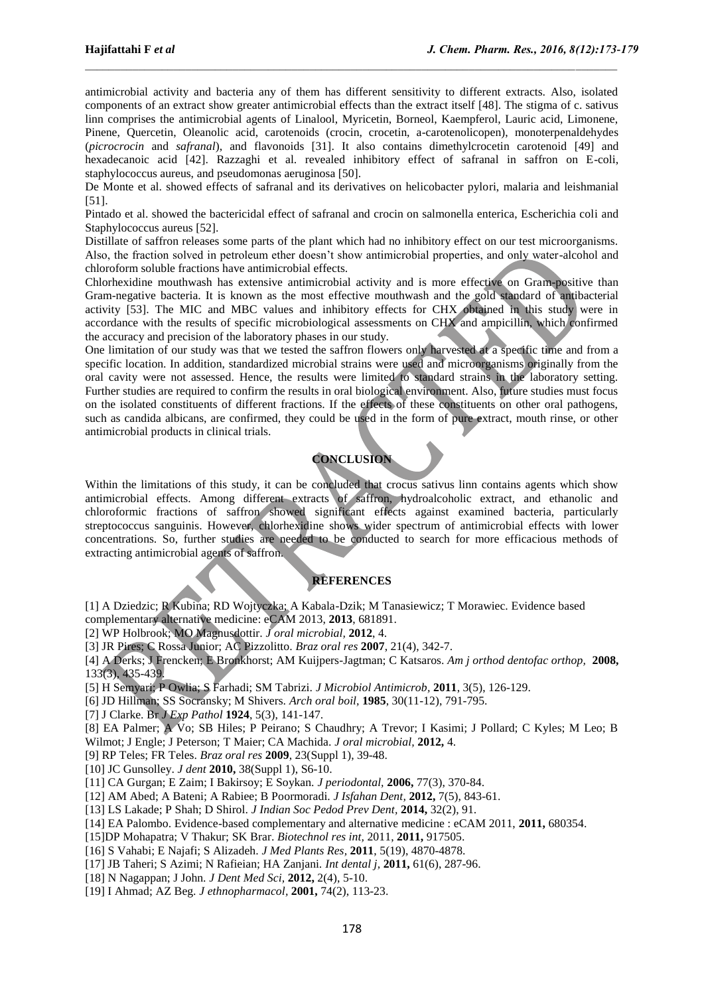antimicrobial activity and bacteria any of them has different sensitivity to different extracts. Also, isolated components of an extract show greater antimicrobial effects than the extract itself [48]. The stigma of c. sativus linn comprises the antimicrobial agents of Linalool, Myricetin, Borneol, Kaempferol, Lauric acid, Limonene, Pinene, Quercetin, Oleanolic acid, carotenoids (crocin, crocetin, a-carotenolicopen), monoterpenaldehydes (*picrocrocin* and *safranal*), and flavonoids [31]. It also contains dimethylcrocetin carotenoid [49] and hexadecanoic acid [42]. Razzaghi et al. revealed inhibitory effect of safranal in saffron on E-coli, staphylococcus aureus, and pseudomonas aeruginosa [50].

De Monte et al. showed effects of safranal and its derivatives on helicobacter pylori, malaria and leishmanial [51].

Pintado et al. showed the bactericidal effect of safranal and crocin on salmonella enterica, Escherichia coli and Staphylococcus aureus [52].

Distillate of saffron releases some parts of the plant which had no inhibitory effect on our test microorganisms. Also, the fraction solved in petroleum ether doesn't show antimicrobial properties, and only water-alcohol and chloroform soluble fractions have antimicrobial effects.

Chlorhexidine mouthwash has extensive antimicrobial activity and is more effective on Gram-positive than Gram-negative bacteria. It is known as the most effective mouthwash and the gold standard of antibacterial activity [53]. The MIC and MBC values and inhibitory effects for CHX obtained in this study were in accordance with the results of specific microbiological assessments on CHX and ampicillin, which confirmed the accuracy and precision of the laboratory phases in our study.

One limitation of our study was that we tested the saffron flowers only harvested at a specific time and from a specific location. In addition, standardized microbial strains were used and microorganisms originally from the oral cavity were not assessed. Hence, the results were limited to standard strains in the laboratory setting. Further studies are required to confirm the results in oral biological environment. Also, future studies must focus on the isolated constituents of different fractions. If the effects of these constituents on other oral pathogens, such as candida albicans, are confirmed, they could be used in the form of pure extract, mouth rinse, or other antimicrobial products in clinical trials.

## **CONCLUSION**

Within the limitations of this study, it can be concluded that crocus sativus linn contains agents which show antimicrobial effects. Among different extracts of saffron, hydroalcoholic extract, and ethanolic and chloroformic fractions of saffron showed significant effects against examined bacteria, particularly streptococcus sanguinis. However, chlorhexidine shows wider spectrum of antimicrobial effects with lower concentrations. So, further studies are needed to be conducted to search for more efficacious methods of extracting antimicrobial agents of saffron.

### **REFERENCES**

[1] A Dziedzic; R Kubina; RD Wojtyczka; A Kabala-Dzik; M Tanasiewicz; T Morawiec. Evidence based complementary alternative medicine: eCAM 2013, **2013**, 681891.

[2] WP Holbrook; MO Magnusdottir. *J oral microbial,* **2012**, 4.

[3] JR Pires; C Rossa Junior; AC Pizzolitto. *Braz oral res* **2007**, 21(4), 342-7.

[4] A Derks; J Frencken; E Bronkhorst; AM Kuijpers-Jagtman; C Katsaros. *Am j orthod dentofac orthop,* **2008,** 133(3), 435-439.

[5] H Semyari; P Owlia; S Farhadi; SM Tabrizi. *J Microbiol Antimicrob,* **2011**, 3(5), 126-129.

[6] JD Hillman; SS Socransky; M Shivers. *Arch oral boil,* **1985**, 30(11-12), 791-795.

[7] J Clarke. Br *J Exp Pathol* **1924**, 5(3), 141-147.

[8] EA Palmer; A Vo; SB Hiles; P Peirano; S Chaudhry; A Trevor; I Kasimi; J Pollard; C Kyles; M Leo; B Wilmot; J Engle; J Peterson; T Maier; CA Machida. *J oral microbial,* **2012,** 4.

[9] RP Teles; FR Teles. *Braz oral res* **2009**, 23(Suppl 1), 39-48.

- [10] JC Gunsolley. *J dent* **2010,** 38(Suppl 1), S6-10.
- [11] CA Gurgan; E Zaim; I Bakirsoy; E Soykan. *J periodontal,* **2006,** 77(3), 370-84.
- [12] AM Abed; A Bateni; A Rabiee; B Poormoradi. *J Isfahan Dent,* **2012,** 7(5), 843-61.
- [13] LS Lakade; P Shah; D Shirol. *J Indian Soc Pedod Prev Dent,* **2014,** 32(2), 91.
- [14] EA Palombo. Evidence-based complementary and alternative medicine : eCAM 2011, **2011,** 680354.
- [15]DP Mohapatra; V Thakur; SK Brar. *Biotechnol res int,* 2011, **2011,** 917505.
- [16] S Vahabi; E Najafi; S Alizadeh. *J Med Plants Res,* **2011**, 5(19), 4870-4878.
- [17] JB Taheri; S Azimi; N Rafieian; HA Zanjani. *Int dental j,* **2011,** 61(6), 287-96.
- [18] N Nagappan; J John. *J Dent Med Sci,* **2012,** 2(4), 5-10.
- [19] I Ahmad; AZ Beg. *J ethnopharmacol,* **2001,** 74(2), 113-23.